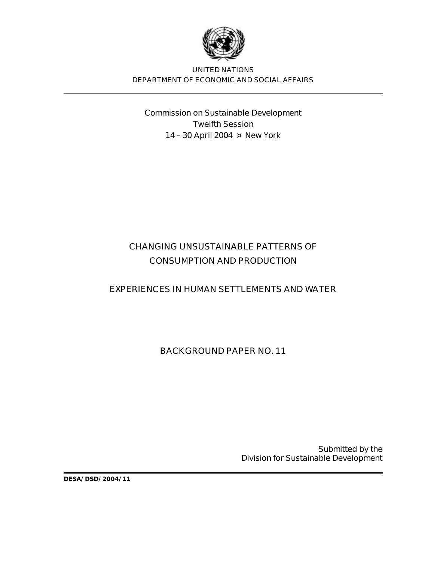

**UNITED NATIONS DEPARTMENT OF ECONOMIC AND SOCIAL AFFAIRS**

**Commission on Sustainable Development Twelfth Session 14 – 30 April 2004 ¤ New York**

# **CHANGING UNSUSTAINABLE PATTERNS OF CONSUMPTION AND PRODUCTION**

### **EXPERIENCES IN HUMAN SETTLEMENTS AND WATER**

**BACKGROUND PAPER NO. 11**

**Submitted by the Division for Sustainable Development** 

**DESA/DSD/2004/11**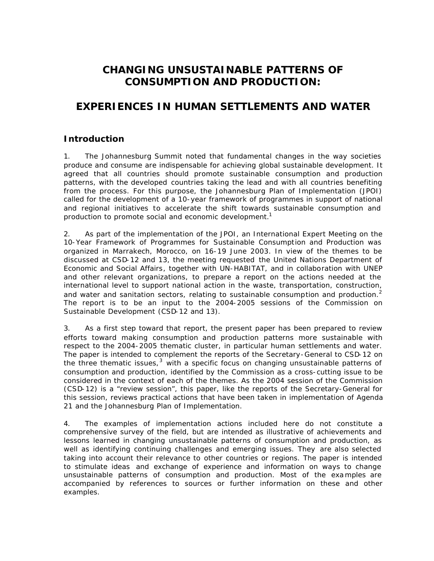## **CHANGING UNSUSTAINABLE PATTERNS OF CONSUMPTION AND PRODUCTION:**

## **EXPERIENCES IN HUMAN SETTLEMENTS AND WATER**

### **Introduction**

1. The Johannesburg Summit noted that fundamental changes in the way societies produce and consume are indispensable for achieving global sustainable development. It agreed that all countries should promote sustainable consumption and production patterns, with the developed countries taking the lead and with all countries benefiting from the process. For this purpose, the Johannesburg Plan of Implementation (JPOI) called for the development of a 10-year framework of programmes in support of national and regional initiatives to accelerate the shift towards sustainable consumption and production to promote social and economic development.<sup>1</sup>

2. As part of the implementation of the JPOI, an International Expert Meeting on the 10-Year Framework of Programmes for Sustainable Consumption and Production was organized in Marrakech, Morocco, on 16-19 June 2003. In view of the themes to be discussed at CSD-12 and 13, the meeting requested the United Nations Department of Economic and Social Affairs, together with UN-HABITAT, and in collaboration with UNEP and other relevant organizations, to prepare a report on the actions needed at the international level to support national action in the waste, transportation, construction, and water and sanitation sectors, relating to sustainable consumption and production. $2$ The report is to be an input to the 2004-2005 sessions of the Commission on Sustainable Development (CSD-12 and 13).

3. As a first step toward that report, the present paper has been prepared to review efforts toward making consumption and production patterns more sustainable with respect to the 2004-2005 thematic cluster, in particular human settlements and water. The paper is intended to complement the reports of the Secretary-General to CSD-12 on the three thematic issues,  $3$  with a specific focus on changing unsustainable patterns of consumption and production, identified by the Commission as a cross-cutting issue to be considered in the context of each of the themes. As the 2004 session of the Commission (CSD-12) is a "review session", this paper, like the reports of the Secretary-General for this session, reviews practical actions that have been taken in implementation of Agenda 21 and the Johannesburg Plan of Implementation.

4. The examples of implementation actions included here do not constitute a comprehensive survey of the field, but are intended as illustrative of achievements and lessons learned in changing unsustainable patterns of consumption and production, as well as identifying continuing challenges and emerging issues. They are also selected taking into account their relevance to other countries or regions. The paper is intended to stimulate ideas and exchange of experience and information on ways to change unsustainable patterns of consumption and production. Most of the exa mples are accompanied by references to sources or further information on these and other examples.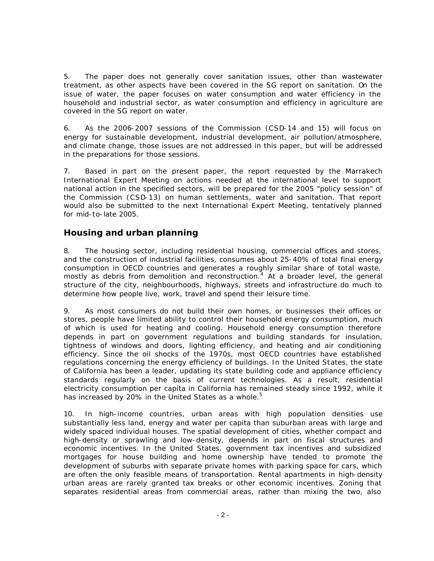5. The paper does not generally cover sanitation issues, other than wastewater treatment, as other aspects have been covered in the SG report on sanitation. On the issue of water, the paper focuses on water consumption and water efficiency in the household and industrial sector, as water consumption and efficiency in agriculture are covered in the SG report on water.

6. As the 2006-2007 sessions of the Commission (CSD-14 and 15) will focus on energy for sustainable development, industrial development, air pollution/atmosphere, and climate change, those issues are not addressed in this paper, but will be addressed in the preparations for those sessions.

7. Based in part on the present paper, the report requested by the Marrakech International Expert Meeting on actions needed at the international level to support national action in the specified sectors, will be prepared for the 2005 "policy session" of the Commission (CSD-13) on human settlements, water and sanitation. That report would also be submitted to the next International Expert Meeting, tentatively planned for mid-to-late 2005.

#### **Housing and urban planning**

8. The housing sector, including residential housing, commercial offices and stores, and the construction of industrial facilities, consumes about 25-40% of total final energy consumption in OECD countries and generates a roughly similar share of total waste, mostly as debris from demolition and reconstruction.<sup>4</sup> At a broader level, the general structure of the city, neighbourhoods, highways, streets and infrastructure do much to determine how people live, work, travel and spend their leisure time.

9. As most consumers do not build their own homes, or businesses their offices or stores, people have limited ability to control their household energy consumption, much of which is used for heating and cooling. Household energy consumption therefore depends in part on government regulations and building standards for insulation, tightness of windows and doors, lighting efficiency, and heating and air conditioning efficiency. Since the oil shocks of the 1970s, most OECD countries have established regulations concerning the energy efficiency of buildings. In the United States, the state of California has been a leader, updating its state building code and appliance efficiency standards regularly on the basis of current technologies. As a result, residential electricity consumption per capita in California has remained steady since 1992, while it has increased by 20% in the United States as a whole. $5$ 

10. In high-income countries, urban areas with high population densities use substantially less land, energy and water per capita than suburban areas with large and widely spaced individual houses. The spatial development of cities, whether compact and high-density or sprawling and low-density, depends in part on fiscal structures and economic incentives. In the United States, government tax incentives and subsidized mortgages for house building and home ownership have tended to promote the development of suburbs with separate private homes with parking space for cars, which are often the only feasible means of transportation. Rental apartments in high-density urban areas are rarely granted tax breaks or other economic incentives. Zoning that separates residential areas from commercial areas, rather than mixing the two, also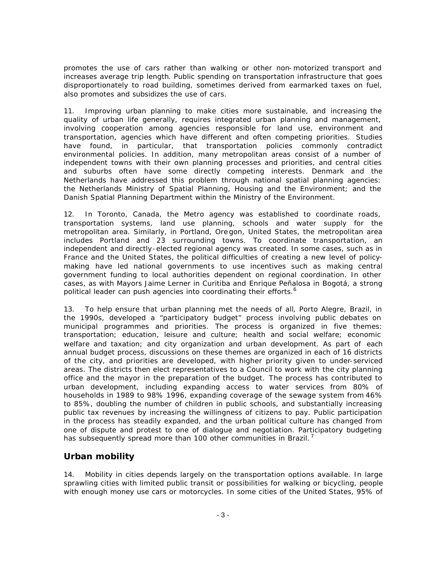promotes the use of cars rather than walking or other non-motorized transport and increases average trip length. Public spending on transportation infrastructure that goes disproportionately to road building, sometimes derived from earmarked taxes on fuel, also promotes and subsidizes the use of cars.

11. Improving urban planning to make cities more sustainable, and increasing the quality of urban life generally, requires integrated urban planning and management, involving cooperation among agencies responsible for land use, environment and transportation, agencies which have different and often competing priorities. Studies have found, in particular, that transportation policies commonly contradict environmental policies. In addition, many metropolitan areas consist of a number of independent towns with their own planning processes and priorities, and central cities and suburbs often have some directly competing interests. Denmark and the Netherlands have addressed this problem through national spatial planning agencies: the Netherlands Ministry of Spatial Planning, Housing and the Environment; and the Danish Spatial Planning Department within the Ministry of the Environment.

12. In Toronto, Canada, the Metro agency was established to coordinate roads, transportation systems, land use planning, schools and water supply for the metropolitan area. Similarly, in Portland, Ore gon, United States, the metropolitan area includes Portland and 23 surrounding towns. To coordinate transportation, an independent and directly-elected regional agency was created. In some cases, such as in France and the United States, the political difficulties of creating a new level of policymaking have led national governments to use incentives such as making central government funding to local authorities dependent on regional coordination. In other cases, as with Mayors Jaime Lerner in Curitiba and Enrique Peñalosa in Bogotá, a strong political leader can push agencies into coordinating their efforts.<sup>6</sup>

13. To help ensure that urban planning met the needs of all, Porto Alegre, Brazil, in the 1990s, developed a "participatory budget" process involving public debates on municipal programmes and priorities. The process is organized in five themes: transportation; education, leisure and culture; health and social welfare; economic welfare and taxation; and city organization and urban development. As part of each annual budget process, discussions on these themes are organized in each of 16 districts of the city, and priorities are developed, with higher priority given to under-serviced areas. The districts then elect representatives to a Council to work with the city planning office and the mayor in the preparation of the budget. The process has contributed to urban development, including expanding access to water services from 80% of households in 1989 to 98% 1996, expanding coverage of the sewage system from 46% to 85%, doubling the number of children in public schools, and substantially increasing public tax revenues by increasing the willingness of citizens to pay. Public participation in the process has steadily expanded, and the urban political culture has changed from one of dispute and protest to one of dialogue and negotiation. Participatory budgeting has subsequently spread more than 100 other communities in Brazil.<sup>7</sup>

#### **Urban mobility**

14. Mobility in cities depends largely on the transportation options available. In large sprawling cities with limited public transit or possibilities for walking or bicycling, people with enough money use cars or motorcycles. In some cities of the United States, 95% of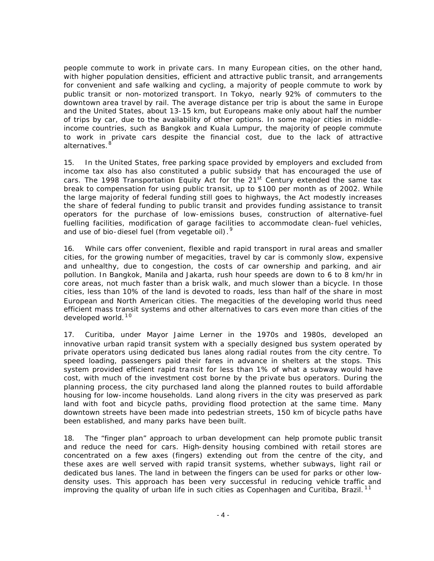people commute to work in private cars. In many European cities, on the other hand, with higher population densities, efficient and attractive public transit, and arrangements for convenient and safe walking and cycling, a majority of people commute to work by public transit or non-motorized transport. In Tokyo, nearly 92% of commuters to the downtown area travel by rail. The average distance per trip is about the same in Europe and the United States, about 13-15 km, but Europeans make only about half the number of trips by car, due to the availability of other options. In some major cities in middleincome countries, such as Bangkok and Kuala Lumpur, the majority of people commute to work in private cars despite the financial cost, due to the lack of attractive alternatives.<sup>8</sup>

15. In the United States, free parking space provided by employers and excluded from income tax also has also constituted a public subsidy that has encouraged the use of cars. The 1998 Transportation Equity Act for the  $21<sup>st</sup>$  Century extended the same tax break to compensation for using public transit, up to \$100 per month as of 2002. While the large majority of federal funding still goes to highways, the Act modestly increases the share of federal funding to public transit and provides funding assistance to transit operators for the purchase of low-emissions buses, construction of alternative-fuel fuelling facilities, modification of garage facilities to accommodate clean-fuel vehicles, and use of bio-diesel fuel (from vegetable oil).<sup>9</sup>

16. While cars offer convenient, flexible and rapid transport in rural areas and smaller cities, for the growing number of megacities, travel by car is commonly slow, expensive and unhealthy, due to congestion, the costs of car ownership and parking, and air pollution. In Bangkok, Manila and Jakarta, rush hour speeds are down to 6 to 8 km/hr in core areas, not much faster than a brisk walk, and much slower than a bicycle. In those cities, less than 10% of the land is devoted to roads, less than half of the share in most European and North American cities. The megacities of the developing world thus need efficient mass transit systems and other alternatives to cars even more than cities of the developed world. $10<sup>10</sup>$ 

17. Curitiba, under Mayor Jaime Lerner in the 1970s and 1980s, developed an innovative urban rapid transit system with a specially designed bus system operated by private operators using dedicated bus lanes along radial routes from the city centre. To speed loading, passengers paid their fares in advance in shelters at the stops. This system provided efficient rapid tra nsit for less than 1% of what a subway would have cost, with much of the investment cost borne by the private bus operators. During the planning process, the city purchased land along the planned routes to build affordable housing for low-income households. Land along rivers in the city was preserved as park land with foot and bicycle paths, providing flood protection at the same time. Many downtown streets have been made into pedestrian streets, 150 km of bicycle paths have been established, and many parks have been built.

18. The "finger plan" approach to urban development can help promote public transit and reduce the need for cars. High-density housing combined with retail stores are concentrated on a few axes (fingers) extending out from the centre of the city, and these axes are well served with rapid transit systems, whether subways, light rail or dedicated bus lanes. The land in between the fingers can be used for parks or other lowdensity uses. This approach has been very successful in reducing vehicle traffic and improving the quality of urban life in such cities as Copenhagen and Curitiba, Brazil.<sup>11</sup>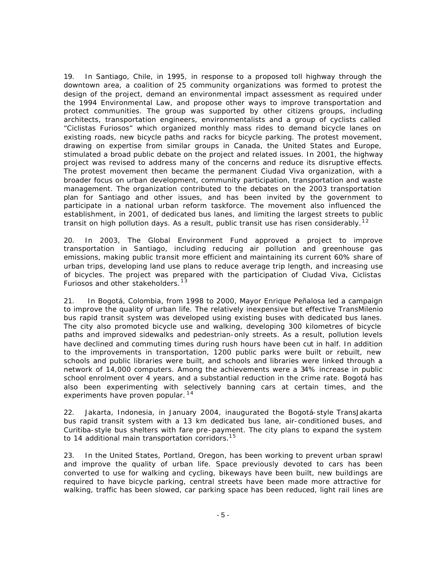19. In Santiago, Chile, in 1995, in response to a proposed toll highway through the downtown area, a coalition of 25 community organizations was formed to protest the design of the project, demand an environmental impact assessment as required under the 1994 Environmental Law, and propose other ways to improve transportation and protect communities. The group was supported by other citizens groups, including architects, transportation engineers, environmentalists and a group of cyclists called "Ciclistas Furiosos" which organized monthly mass rides to demand bicycle lanes on existing roads, new bicycle paths and racks for bicycle parking. The protest movement, drawing on expertise from similar groups in Canada, the United States and Europe, stimulated a broad public debate on the project and related issues. In 2001, the highway project was revised to address many of the concerns and reduce its disruptive effects. The protest movement then became the permanent Ciudad Viva organization, with a broader focus on urban development, community participation, transportation and waste management. The organization contributed to the debates on the 2003 transportation plan for Santiago and other issues, and has been invited by the government to participate in a national urban reform taskforce. The movement also influenced the establishment, in 2001, of dedicated bus lanes, and limiting the largest streets to public transit on high pollution days. As a result, public transit use has risen considerably.<sup>12</sup>

20. In 2003, The Global Environment Fund approved a project to improve transportation in Santiago, including reducing air pollution and greenhouse gas emissions, making public transit more efficient and maintaining its current 60% share of urban trips, developing land use plans to reduce average trip length, and increasing use of bicycles. The project was prepared with the participation of Ciudad Viva, Ciclistas Furiosos and other stakeholders.<sup>13</sup>

21. In Bogotá, Colombia, from 1998 to 2000, Mayor Enrique Peñalosa led a campaign to improve the quality of urban life. The relatively inexpensive but effective TransMilenio bus rapid transit system was developed using existing buses with dedicated bus lanes. The city also promoted bicycle use and walking, developing 300 kilometres of bicycle paths and improved sidewalks and pedestrian-only streets. As a result, pollution levels have declined and commuting times during rush hours have been cut in half. In addition to the improvements in transportation, 1200 public parks were built or rebuilt, new schools and public libraries were built, and schools and libraries were linked through a network of 14,000 computers. Among the achievements were a 34% increase in public school enrolment over 4 years, and a substantial reduction in the crime rate. Bogotá has also been experimenting with selectively banning cars at certain times, and the experiments have proven popular.<sup>14</sup>

22. Jakarta, Indonesia, in January 2004, inaugurated the Bogotá-style TransJakarta bus rapid transit system with a 13 km dedicated bus lane, air-conditioned buses, and Curitiba-style bus shelters with fare pre-payment. The city plans to expand the system to 14 additional main transportation corridors.<sup>15</sup>

23. In the United States, Portland, Oregon, has been working to prevent urban sprawl and improve the quality of urban life. Space previously devoted to cars has been converted to use for walking and cycling, bikeways have been built, new buildings are required to have bicycle parking, central streets have been made more attractive for walking, traffic has been slowed, car parking space has been reduced, light rail lines are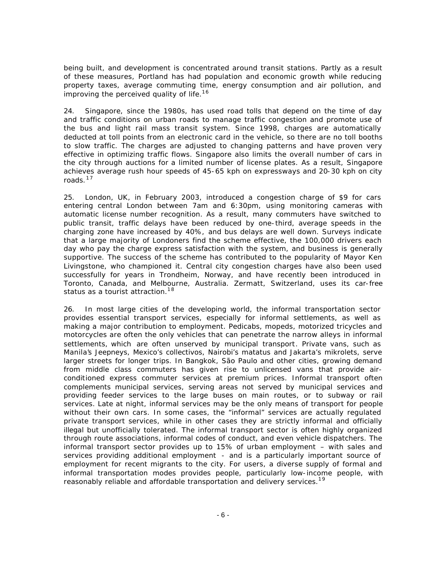being built, and development is concentrated around transit stations. Partly as a result of these measures, Portland has had population and economic growth while reducing property taxes, average commuting time, energy consumption and air pollution, and improving the perceived quality of life.<sup>16</sup>

24. Singapore, since the 1980s, has used road tolls that depend on the time of day and traffic conditions on urban roads to manage traffic congestion and promote use of the bus and light rail mass transit system. Since 1998, charges are automatically deducted at toll points from an electronic card in the vehicle, so there are no toll booths to slow traffic. The charges are adjusted to changing patterns and have proven very effective in optimizing traffic flows. Singapore also limits the overall number of cars in the city through auctions for a limited number of license plates. As a result, Singapore achieves average rush hour speeds of 45-65 kph on expressways and 20-30 kph on city roads. $17$ 

25. London, UK, in February 2003, introduced a congestion charge of \$9 for cars entering central London between 7am and 6:30pm, using monitoring cameras with automatic license number recognition. As a result, many commuters have switched to public transit, traffic delays have been reduced by one-third, average speeds in the charging zone have increased by 40%, and bus delays are well down. Surveys indicate that a large majority of Londoners find the scheme effective, the 100,000 drivers each day who pay the charge express satisfaction with the system, and business is generally supportive. The success of the scheme has contributed to the popularity of Mayor Ken Livingstone, who championed it. Central city congestion charges have also been used successfully for years in Trondheim, Norway, and have recently been introduced in Toronto, Canada, and Melbourne, Australia. Zermatt, Switzerland, uses its car-free status as a tourist attraction.<sup>18</sup>

26. In most large cities of the developing world, the informal transportation sector provides essential transport services, especially for informal settlements, as well as making a major contribution to employment. Pedicabs, mopeds, motorized tricycles and motorcycles are often the only vehicles that can penetrate the narrow alleys in informal settlements, which are often unserved by municipal transport. Private vans, such as Manila's Jeepneys, Mexico's collectivos, Nairobi's matatus and Jakarta's mikrolets, serve larger streets for longer trips. In Bangkok, São Paulo and other cities, growing demand from middle class commuters has given rise to unlicensed vans that provide airconditioned express commuter services at premium prices. Informal transport often complements municipal services, serving areas not served by municipal services and providing feeder services to the large buses on main routes, or to subway or rail services. Late at night, informal services may be the only means of transport for people without their own cars. In some cases, the "informal" services are actually regulated private transport services, while in other cases they are strictly informal and officially illegal but unofficially tolerated. The informal transport sector is often highly organized through route associations, informal codes of conduct, and even vehicle dispatchers. The informal transport sector provides up to 15% of urban employment – with sales and services providing additional employment - and is a particularly important source of employment for recent migrants to the city. For users, a diverse supply of formal and informal transportation modes provides people, particularly low-income people, with reasonably reliable and affordable transportation and delivery services.<sup>19</sup>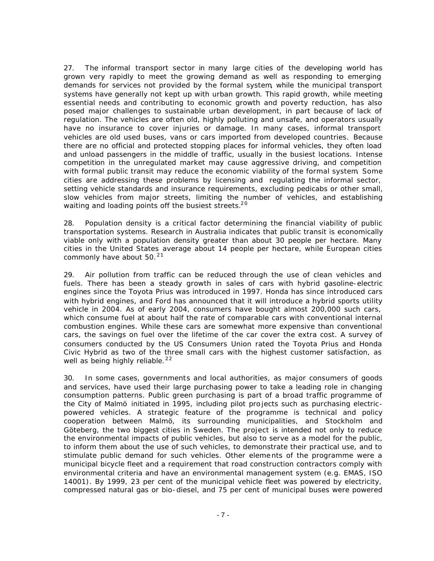27. The informal transport sector in many large cities of the developing world has grown very rapidly to meet the growing demand as well as responding to emerging demands for services not provided by the formal system, while the municipal transport systems have generally not kept up with urban growth. This rapid growth, while meeting essential needs and contributing to economic growth and poverty reduction, has also posed major challenges to sustainable urban development, in part because of lack of regulation. The vehicles are often old, highly polluting and unsafe, and operators usually have no insurance to cover injuries or damage. In many cases, informal transport vehicles are old used buses, vans or cars imported from developed countries. Because there are no official and protected stopping places for informal vehicles, they often load and unload passengers in the middle of traffic, usually in the busiest locations. Intense competition in the unregulated market may cause aggressive driving, and competition with formal public transit may reduce the economic viability of the formal system. Some cities are addressing these problems by licensing and regulating the informal sector, setting vehicle standards and insurance requirements, excluding pedicabs or other small, slow vehicles from major streets, limiting the number of vehicles, and establishing waiting and loading points off the busiest streets.<sup>20</sup>

28. Population density is a critical factor determining the financial viability of public transportation systems. Research in Australia indicates that public transit is economically viable only with a population density greater than about 30 people per hectare. Many cities in the United States average about 14 people per hectare, while European cities commonly have about  $50.^21$ 

29. Air pollution from traffic can be reduced through the use of clean vehicles and fuels. There has been a steady growth in sales of cars with hybrid gasoline-electric engines since the Toyota Prius was introduced in 1997. Honda has since introduced cars with hybrid engines, and Ford has announced that it will introduce a hybrid sports utility vehicle in 2004. As of early 2004, consumers have bought almost 200,000 such cars, which consume fuel at about half the rate of comparable cars with conventional internal combustion engines. While these cars are somewhat more expensive than conventional cars, the savings on fuel over the lifetime of the car cover the extra cost. A survey of consumers conducted by the US Consumers Union rated the Toyota Prius and Honda Civic Hybrid as two of the three small cars with the highest customer satisfaction, as well as being highly reliable. $22$ 

30. In some cases, governments and local authorities, as major consumers of goods and services, have used their large purchasing power to take a leading role in changing consumption patterns. Public green purchasing is part of a broad traffic programme of the City of Malmö initiated in 1995, including pilot pro jects such as purchasing electricpowered vehicles. A strategic feature of the programme is technical and policy cooperation between Malmö, its surrounding municipalities, and Stockholm and Göteberg, the two biggest cities in Sweden. The project is intended not only to reduce the environmental impacts of public vehicles, but also to serve as a model for the public, to inform them about the use of such vehicles, to demonstrate their practical use, and to stimulate public demand for such vehicles. Other eleme nts of the programme were a municipal bicycle fleet and a requirement that road construction contractors comply with environmental criteria and have an environmental management system (e.g. EMAS, ISO 14001). By 1999, 23 per cent of the municipal vehicle fleet was powered by electricity, compressed natural gas or bio-diesel, and 75 per cent of municipal buses were powered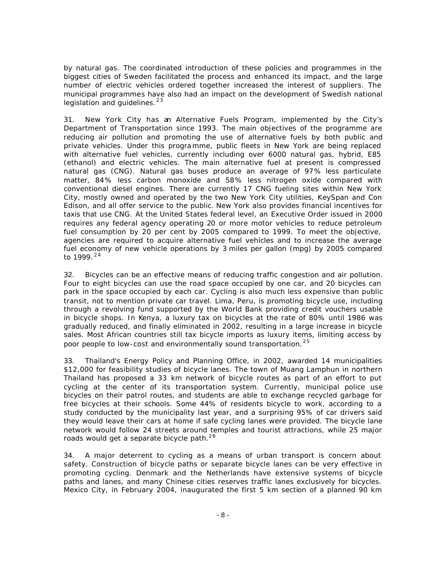by natural gas. The coordinated introduction of these policies and programmes in the biggest cities of Sweden facilitated the process and enhanced its impact, and the large number of electric vehicles ordered together increased the interest of suppliers. The municipal programmes have also had an impact on the development of Swedish national legislation and guidelines.<sup>23</sup>

31. New York City has an Alternative Fuels Program, implemented by the City's Department of Transportation since 1993. The main objectives of the programme are reducing air pollution and promoting the use of alternative fuels by both public and private vehicles. Under this programme, public fleets in New York are being replaced with alternative fuel vehicles, currently including over 6000 natural gas, hybrid, E85 (ethanol) and electric vehicles. The main alternative fuel at present is compressed natural gas (CNG). Natural gas buses produce an average of 97% less particulate matter, 84% less carbon monoxide and 58% less nitrogen oxide compared with conventional diesel engines. There are currently 17 CNG fueling sites within New York City, mostly owned and operated by the two New York City utilities, KeySpan and Con Edison, and all offer service to the public. New York also provides financial incentives for taxis that use CNG. At the United States federal level, an Executive Order issued in 2000 requires any federal agency operating 20 or more motor vehicles to reduce petroleum fuel consumption by 20 per cent by 2005 compared to 1999. To meet the objective, agencies are required to acquire alternative fuel vehicles and to increase the average fuel economy of new vehicle operations by 3 miles per gallon (mpg) by 2005 compared to 1999. $24$ 

32. Bicycles can be an effective means of reducing traffic congestion and air pollution. Four to eight bicycles can use the road space occupied by one car, and 20 bicycles can park in the space occupied by each car. Cycling is also much less expensive than public transit, not to mention private car travel. Lima, Peru, is promoting bicycle use, including through a revolving fund supported by the World Bank providing credit vouchers usable in bicycle shops. In Kenya, a luxury tax on bicycles at the rate of 80% until 1986 was gradually reduced, and finally eliminated in 2002, resulting in a large increase in bicycle sales. Most African countries still tax bicycle imports as luxury items, limiting access by poor people to low-cost and environmentally sound transportation.<sup>25</sup>

33. Thailand's Energy Policy and Planning Office, in 2002, awarded 14 municipalities \$12,000 for feasibility studies of bicycle lanes. The town of Muang Lamphun in northern Thailand has proposed a 33 km network of bicycle routes as part of an effort to put cycling at the center of its transportation system. Currently, municipal police use bicycles on their patrol routes, and students are able to exchange recycled garbage for free bicycles at their schools. Some 44% of residents bicycle to work, according to a study conducted by the municipality last year, and a surprising 95% of car drivers said they would leave their cars at home if safe cycling lanes were provided. The bicycle lane network would follow 24 streets around temples and tourist attractions, while 25 major roads would get a separate bicycle path.<sup>26</sup>

34. A major deterrent to cycling as a means of urban transport is concern about safety. Construction of bicycle paths or separate bicycle lanes can be very effective in promoting cycling. Denmark and the Netherlands have extensive systems of bicycle paths and lanes, and many Chinese cities reserves traffic lanes exclusively for bicycles. Mexico City, in February 2004, inaugurated the first 5 km section of a planned 90 km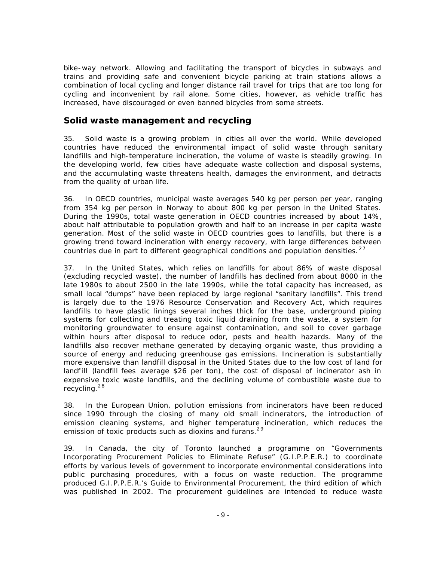bike-way network. Allowing and facilitating the transport of bicycles in subways and trains and providing safe and convenient bicycle parking at train stations allows a combination of local cycling and longer distance rail travel for trips that are too long for cycling and inconvenient by rail alone. Some cities, however, as vehicle traffic has increased, have discouraged or even banned bicycles from some streets.

#### **Solid waste management and recycling**

35. Solid waste is a growing problem in cities all over the world. While developed countries have reduced the environmental impact of solid waste through sanitary landfills and high-temperature incineration, the volume of waste is steadily growing. In the developing world, few cities have adequate waste collection and disposal systems, and the accumulating waste threatens health, damages the environment, and detracts from the quality of urban life.

36. In OECD countries, municipal waste averages 540 kg per person per year, ranging from 354 kg per person in Norway to about 800 kg per person in the United States. During the 1990s, total waste generation in OECD countries increased by about 14%, about half attributable to population growth and half to an increase in per capita waste generation. Most of the solid waste in OECD countries goes to landfills, but there is a growing trend toward incineration with energy recovery, with large differences between countries due in part to different geographical conditions and population densities.  $^{27}$ 

37. In the United States, which relies on landfills for about 86% of waste disposal (excluding recycled waste), the number of landfills has declined from about 8000 in the late 1980s to about 2500 in the late 1990s, while the total capacity has increased, as small local "dumps" have been replaced by large regional "sanitary landfills". This trend is largely due to the 1976 Resource Conservation and Recovery Act, which requires landfills to have plastic linings several inches thick for the base, underground piping systems for collecting and treating toxic liquid draining from the waste, a system for monitoring groundwater to ensure against contamination, and soil to cover garbage within hours after disposal to reduce odor, pests and health hazards. Many of the landfills also recover methane generated by decaying organic waste, thus providing a source of energy and reducing greenhouse gas emissions. Incineration is substantially more expensive than landfill disposal in the United States due to the low cost of land for landfill (landfill fees average \$26 per ton), the cost of disposal of incinerator ash in expensive toxic waste landfills, and the declining volume of combustible waste due to recycling.<sup>28</sup>

38. In the European Union, pollution emissions from incinerators have been re duced since 1990 through the closing of many old small incinerators, the introduction of emission cleaning systems, and higher temperature incineration, which reduces the emission of toxic products such as dioxins and furans.  $29$ 

39. In Canada, the city of Toronto launched a programme on "Governments Incorporating Procurement Policies to Eliminate Refuse" (G.I.P.P.E.R.) to coordinate efforts by various levels of government to incorporate environmental considerations into public purchasing procedures, with a focus on waste reduction. The programme produced G.I.P.P.E.R.'s Guide to Environmental Procurement, the third edition of which was published in 2002. The procurement guidelines are intended to reduce waste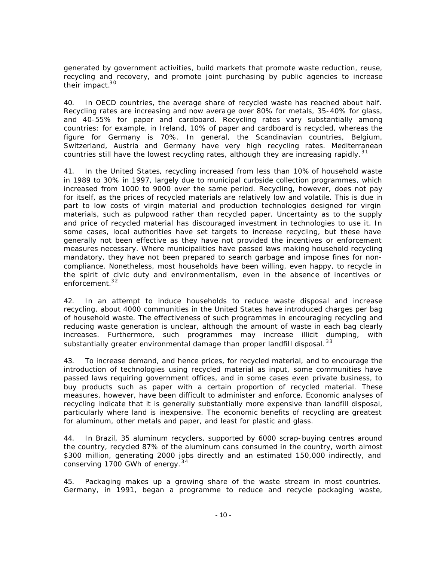generated by government activities, build markets that promote waste reduction, reuse, recycling and recovery, and promote joint purchasing by public agencies to increase their impact.<sup>30</sup>

40. In OECD countries, the average share of recycled waste has reached about half. Recycling rates are increasing and now avera ge over 80% for metals, 35-40% for glass, and 40-55% for paper and cardboard. Recycling rates vary substantially among countries: for example, in Ireland, 10% of paper and cardboard is recycled, whereas the figure for Germany is 70%. In general, the Scandinavian countries, Belgium, Switzerland, Austria and Germany have very high recycling rates. Mediterranean countries still have the lowest recycling rates, although they are increasing rapidly.<sup>31</sup>

41. In the United States, recycling increased from less than 10% of household waste in 1989 to 30% in 1997, largely due to municipal curbside collection programmes, which increased from 1000 to 9000 over the same period. Recycling, however, does not pay for itself, as the prices of recycled materials are relatively low and volatile. This is due in part to low costs of virgin material and production technologies designed for virgin materials, such as pulpwood rather than recycled paper. Uncertainty as to the supply and price of recycled material has discouraged investment in technologies to use it. In some cases, local authorities have set targets to increase recycling, but these have generally not been effective as they have not provided the incentives or enforcement measures necessary. Where municipalities have passed laws making household recycling mandatory, they have not been prepared to search garbage and impose fines for noncompliance. Nonetheless, most households have been willing, even happy, to recycle in the spirit of civic duty and environmentalism, even in the absence of incentives or enforcement.<sup>32</sup>

42. In an attempt to induce households to reduce waste disposal and increase recycling, about 4000 communities in the United States have introduced charges per bag of household waste. The effectiveness of such programmes in encouraging recycling and reducing waste generation is unclear, although the amount of waste in each bag clearly increases. Furthermore, such programmes may increase illicit dumping, with substantially greater environmental damage than proper landfill disposal.<sup>33</sup>

43. To increase demand, and hence prices, for recycled material, and to encourage the introduction of technologies using recycled material as input, some communities have passed laws requiring government offices, and in some cases even private business, to buy products such as paper with a certain proportion of recycled material. These measures, however, have been difficult to administer and enforce. Economic analyses of recycling indicate that it is generally substantially more expensive than landfill disposal, particularly where land is inexpensive. The economic benefits of recycling are greatest for aluminum, other metals and paper, and least for plastic and glass.

44. In Brazil, 35 aluminum recyclers, supported by 6000 scrap-buying centres around the country, recycled 87% of the aluminum cans consumed in the country, worth almost \$300 million, generating 2000 jobs directly and an estimated 150,000 indirectly, and conserving 1700 GWh of energy.<sup>34</sup>

45. Packaging makes up a growing share of the waste stream in most countries. Germany, in 1991, began a programme to reduce and recycle packaging waste,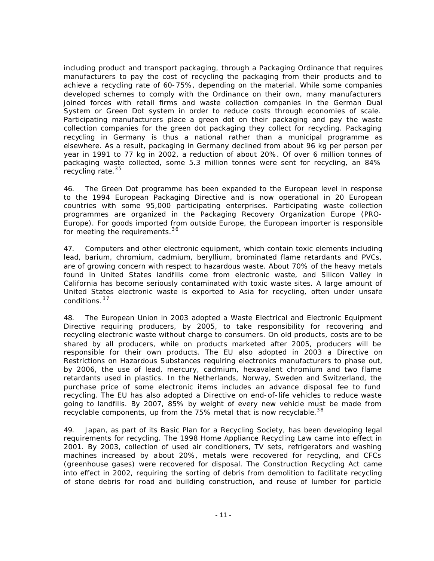including product and transport packaging, through a Packaging Ordinance that requires manufacturers to pay the cost of recycling the packaging from their products and to achieve a recycling rate of 60-75%, depending on the material. While some companies developed schemes to comply with the Ordinance on their own, many manufacturers joined forces with retail firms and waste collection companies in the German Dual System or Green Dot system in order to reduce costs through economies of scale. Participating manufacturers place a green dot on their packaging and pay the waste collection companies for the green dot packaging they collect for recycling. Packaging recycling in Germany is thus a national rather than a municipal programme as elsewhere. As a result, packaging in Germany declined from about 96 kg per person per year in 1991 to 77 kg in 2002, a reduction of about 20%. Of over 6 million tonnes of packaging waste collected, some 5.3 million tonnes were sent for recycling, an 84% recycling rate. $35$ 

46. The Green Dot programme has been expanded to the European level in response to the 1994 European Packaging Directive and is now operational in 20 European countries with some 95,000 participating enterprises. Participating waste collection programmes are organized in the Packaging Recovery Organization Europe (PRO-Europe). For goods imported from outside Europe, the European importer is responsible for meeting the requirements.<sup>36</sup>

47. Computers and other electronic equipment, which contain toxic elements including lead, barium, chromium, cadmium, beryllium, brominated flame retardants and PVCs, are of growing concern with respect to hazardous waste. About 70% of the heavy metals found in United States landfills come from electronic waste, and Silicon Valley in California has become seriously contaminated with toxic waste sites. A large amount of United States electronic waste is exported to Asia for recycling, often under unsafe conditions.<sup>37</sup>

48. The European Union in 2003 adopted a Waste Electrical and Electronic Equipment Directive requiring producers, by 2005, to take responsibility for recovering and recycling electronic waste without charge to consumers. On old products, costs are to be shared by all producers, while on products marketed after 2005, producers will be responsible for their own products. The EU also adopted in 2003 a Directive on Restrictions on Hazardous Substances requiring electronics manufacturers to phase out, by 2006, the use of lead, mercury, cadmium, hexavalent chromium and two flame retardants used in plastics. In the Netherlands, Norway, Sweden and Switzerland, the purchase price of some electronic items includes an advance disposal fee to fund recycling. The EU has also adopted a Directive on end-of-life vehicles to reduce waste going to landfills. By 2007, 85% by weight of every new vehicle must be made from recyclable components, up from the 75% metal that is now recyclable.<sup>38</sup>

49. Japan, as part of its Basic Plan for a Recycling Society, has been developing legal requirements for recycling. The 1998 Home Appliance Recycling Law came into effect in 2001. By 2003, collection of used air conditioners, TV sets, refrigerators and washing machines increased by about 20%, metals were recovered for recycling, and CFCs (greenhouse gases) were recovered for disposal. The Construction Recycling Act came into effect in 2002, requiring the sorting of debris from demolition to facilitate recycling of stone debris for road and building construction, and reuse of lumber for particle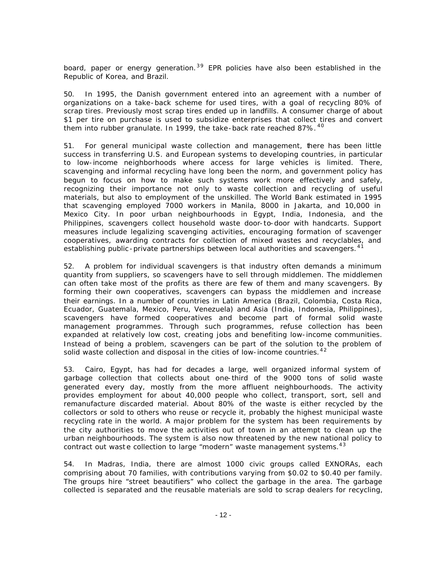board, paper or energy generation.<sup>39</sup> EPR policies have also been established in the Republic of Korea, and Brazil.

50. In 1995, the Danish government entered into an agreement with a number of organizations on a take-back scheme for used tires, with a goal of recycling 80% of scrap tires. Previously most scrap tires ended up in landfills. A consumer charge of about \$1 per tire on purchase is used to subsidize enterprises that collect tires and convert them into rubber granulate. In 1999, the take-back rate reached 87%. <sup>40</sup>

51. For general municipal waste collection and management, there has been little success in transferring U.S. and European systems to developing countries, in particular to low-income neighborhoods where access for large vehicles is limited. There, scavenging and informal recycling have long been the norm, and government policy has begun to focus on how to make such systems work more effectively and safely, recognizing their importance not only to waste collection and recycling of useful materials, but also to employment of the unskilled. The World Bank estimated in 1995 that scavenging employed 7000 workers in Manila, 8000 in Jakarta, and 10,000 in Mexico City. In poor urban neighbourhoods in Egypt, India, Indonesia, and the Philippines, scavengers collect household waste door-to-door with handcarts. Support measures include legalizing scavenging activities, encouraging formation of scavenger cooperatives, awarding contracts for collection of mixed wastes and recyclables, and establishing public-private partnerships between local authorities and scavengers.<sup>41</sup>

52. A problem for individual scavengers is that industry often demands a minimum quantity from suppliers, so scavengers have to sell through middlemen. The middlemen can often take most of the profits as there are few of them and many scavengers. By forming their own cooperatives, scavengers can bypass the middlemen and increase their earnings. In a number of countries in Latin America (Brazil, Colombia, Costa Rica, Ecuador, Guatemala, Mexico, Peru, Venezuela) and Asia (India, Indonesia, Philippines), scavengers have formed cooperatives and become part of formal solid waste management programmes. Through such programmes, refuse collection has been expanded at relatively low cost, creating jobs and benefiting low-income communities. Instead of being a problem, scavengers can be part of the solution to the problem of solid waste collection and disposal in the cities of low-income countries.  $42$ 

53. Cairo, Egypt, has had for decades a large, well organized informal system of garbage collection that collects about one-third of the 9000 tons of solid waste generated every day, mostly from the more affluent neighbourhoods. The activity provides employment for about 40,000 people who collect, transport, sort, sell and remanufacture discarded material. About 80% of the waste is either recycled by the collectors or sold to others who reuse or recycle it, probably the highest municipal waste recycling rate in the world. A major problem for the system has been requirements by the city authorities to move the activities out of town in an attempt to clean up the urban neighbourhoods. The system is also now threatened by the new national policy to contract out waste collection to large "modern" waste management systems.<sup>43</sup>

54. In Madras, India, there are almost 1000 civic groups called EXNORAs, each comprising about 70 families, with contributions varying from \$0.02 to \$0.40 per family. The groups hire "street beautifiers" who collect the garbage in the area. The garbage collected is separated and the reusable materials are sold to scrap dealers for recycling,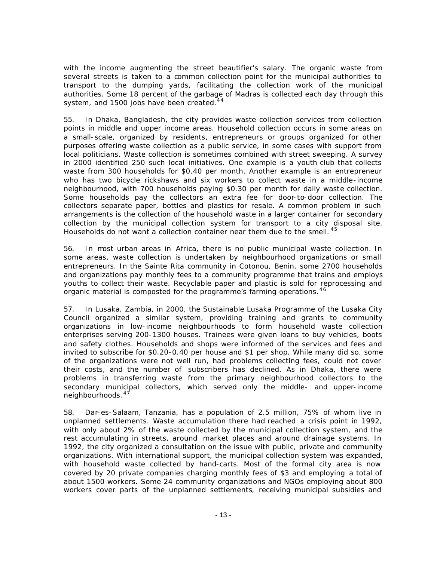with the income augmenting the street beautifier's salary. The organic waste from several streets is taken to a common collection point for the municipal authorities to transport to the dumping yards, facilitating the collection work of the municipal authorities. Some 18 percent of the garbage of Madras is collected each day through this system, and 1500 jobs have been created.<sup>44</sup>

55. In Dhaka, Bangladesh, the city provides waste collection services from collection points in middle and upper income areas. Household collection occurs in some areas on a small-scale, organized by residents, entrepreneurs or groups organized for other purposes offering waste collection as a public service, in some cases with support from local politicians. Waste collection is sometimes combined with street sweeping. A survey in 2000 identified 250 such local initiatives. One example is a youth club that collects waste from 300 households for \$0.40 per month. Another example is an entrepreneur who has two bicycle rickshaws and six workers to collect waste in a middle-income neighbourhood, with 700 households paying \$0.30 per month for daily waste collection. Some households pay the collectors an extra fee for door-to-door collection. The collectors separate paper, bottles and plastics for resale. A common problem in such arrangements is the collection of the household waste in a larger container for secondary collection by the municipal collection system for transport to a city disposal site. Households do not want a collection container near them due to the smell.<sup>45</sup>

56. In most urban areas in Africa, there is no public municipal waste collection. In some areas, waste collection is undertaken by neighbourhood organizations or small entrepreneurs. In the Sainte Rita community in Cotonou, Benin, some 2700 households and organizations pay monthly fees to a community programme that trains and employs youths to collect their waste. Recyclable paper and plastic is sold for reprocessing and organic material is composted for the programme's farming operations.<sup>46</sup>

57. In Lusaka, Zambia, in 2000, the Sustainable Lusaka Programme of the Lusaka City Council organized a similar system, providing training and grants to community organizations in low-income neighbourhoods to form household waste collection enterprises serving 200-1300 houses. Trainees were given loans to buy vehicles, boots and safety clothes. Households and shops were informed of the services and fees and invited to subscribe for \$0.20-0.40 per house and \$1 per shop. While many did so, some of the organizations were not well run, had problems collecting fees, could not cover their costs, and the number of subscribers has declined. As in Dhaka, there were problems in transferring waste from the primary neighbourhood collectors to the secondary municipal collectors, which served only the middle- and upper-income neighbourhoods. 47

58. Dar-es-Salaam, Tanzania, has a population of 2.5 million, 75% of whom live in unplanned settlements. Waste accumulation there had reached a crisis point in 1992, with only about 2% of the waste collected by the municipal collection system, and the rest accumulating in streets, around market places and around drainage systems. In 1992, the city organized a consultation on the issue with public, private and community organizations. With international support, the municipal collection system was expanded, with household waste collected by hand-carts. Most of the formal city area is now covered by 20 private companies charging monthly fees of \$3 and employing a total of about 1500 workers. Some 24 community organizations and NGOs employing about 800 workers cover parts of the unplanned settlements, receiving municipal subsidies and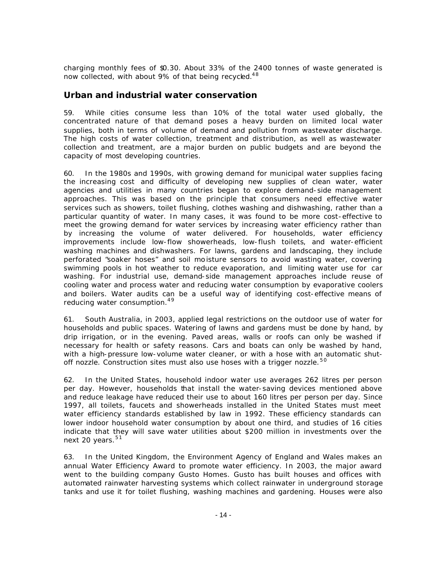charging monthly fees of \$0.30. About 33% of the 2400 tonnes of waste generated is now collected, with about 9% of that being recycled.<sup>48</sup>

#### **Urban and industrial water conservation**

59. While cities consume less than 10% of the total water used globally, the concentrated nature of that demand poses a heavy burden on limited local water supplies, both in terms of volume of demand and pollution from wastewater discharge. The high costs of water collection, treatment and distribution, as well as wastewater collection and treatment, are a major burden on public budgets and are beyond the capacity of most developing countries.

60. In the 1980s and 1990s, with growing demand for municipal water supplies facing the increasing cost and difficulty of developing new supplies of clean water, water agencies and utilities in many countries began to explore demand-side management approaches. This was based on the principle that consumers need effective water services such as showers, toilet flushing, clothes washing and dishwashing, rather than a particular quantity of water. In many cases, it was found to be more cost-effective to meet the growing demand for water services by increasing water efficiency rather than by increasing the volume of water delivered. For households, water efficiency improvements include low-flow showerheads, low-flush toilets, and water-efficient washing machines and dishwashers. For lawns, gardens and landscaping, they include perforated "soaker hoses" and soil moisture sensors to avoid wasting water, covering swimming pools in hot weather to reduce evaporation, and limiting water use for car washing. For industrial use, demand-side management approaches include reuse of cooling water and process water and reducing water consumption by evaporative coolers and boilers. Water audits can be a useful way of identifying cost-effective means of reducing water consumption.<sup>49</sup>

61. South Australia, in 2003, applied legal restrictions on the outdoor use of water for households and public spaces. Watering of lawns and gardens must be done by hand, by drip irrigation, or in the evening. Paved areas, walls or roofs can only be washed if necessary for health or safety reasons. Cars and boats can only be washed by hand, with a high-pressure low-volume water cleaner, or with a hose with an automatic shutoff nozzle. Construction sites must also use hoses with a trigger nozzle.<sup>50</sup>

62. In the United States, household indoor water use averages 262 litres per person per day. However, households that install the water-saving devices mentioned above and reduce leakage have reduced their use to about 160 litres per person per day. Since 1997, all toilets, faucets and showerheads installed in the United States must meet water efficiency standards established by law in 1992. These efficiency standards can lower indoor household water consumption by about one third, and studies of 16 cities indicate that they will save water utilities about \$200 million in investments over the next 20 years. $51$ 

63. In the United Kingdom, the Environment Agency of England and Wales makes an annual Water Efficiency Award to promote water efficiency. In 2003, the major award went to the building company Gusto Homes. Gusto has built houses and offices with automated rainwater harvesting systems which collect rainwater in underground storage tanks and use it for toilet flushing, washing machines and gardening. Houses were also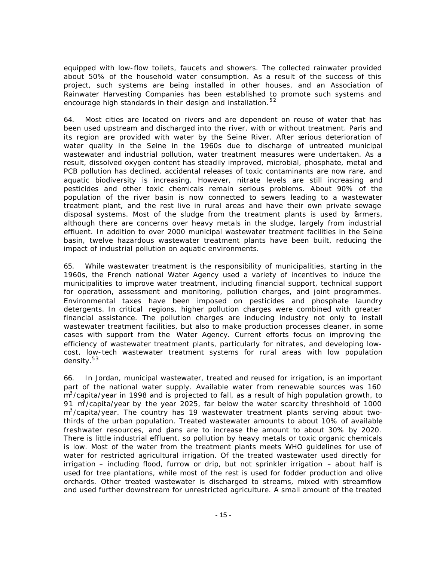equipped with low-flow toilets, faucets and showers. The collected rainwater provided about 50% of the household water consumption. As a result of the success of this project, such systems are being installed in other houses, and an Association of Rainwater Harvesting Companies has been established to promote such systems and encourage high standards in their design and installation.<sup>52</sup>

64. Most cities are located on rivers and are dependent on reuse of water that has been used upstream and discharged into the river, with or without treatment. Paris and its region are provided with water by the Seine River. After serious deterioration of water quality in the Seine in the 1960s due to discharge of untreated municipal wastewater and industrial pollution, water treatment measures were undertaken. As a result, dissolved oxygen content has steadily improved, microbial, phosphate, metal and PCB pollution has declined, accidental releases of toxic contaminants are now rare, and aquatic biodiversity is increasing. However, nitrate levels are still increasing and pesticides and other toxic chemicals remain serious problems. About 90% of the population of the river basin is now connected to sewers leading to a wastewater treatment plant, and the rest live in rural areas and have their own private sewage disposal systems. Most of the sludge from the treatment plants is used by farmers, although there are concerns over heavy metals in the sludge, largely from industrial effluent. In addition to over 2000 municipal wastewater treatment facilities in the Seine basin, twelve hazardous wastewater treatment plants have been built, reducing the impact of industrial pollution on aquatic environments.

65. While wastewater treatment is the responsibility of municipalities, starting in the 1960s, the French national Water Agency used a variety of incentives to induce the municipalities to improve water treatment, including financial support, technical support for operation, assessment and monitoring, pollution charges, and joint programmes. Environmental taxes have been imposed on pesticides and phosphate laundry detergents. In critical regions, higher pollution charges were combined with greater financial assistance. The pollution charges are inducing industry not only to install wastewater treatment facilities, but also to make production processes cleaner, in some cases with support from the Water Agency. Current efforts focus on improving the efficiency of wastewater treatment plants, particularly for nitrates, and developing lowcost, low-tech wastewater treatment systems for rural areas with low population density. $53$ 

66. In Jordan, municipal wastewater, treated and reused for irrigation, is an important part of the national water supply. Available water from renewable sources was 160  $\text{m}^3$ /capita/year in 1998 and is projected to fall, as a result of high population growth, to 91  $\frac{m^2}{c}$  apita/year by the year 2025, far below the water scarcity threshhold of 1000 m<sup>3</sup>/capita/year. The country has 19 wastewater treatment plants serving about twothirds of the urban population. Treated wastewater amounts to about 10% of available freshwater resources, and dans are to increase the amount to about 30% by 2020. There is little industrial effluent, so pollution by heavy metals or toxic organic chemicals is low. Most of the water from the treatment plants meets WHO guidelines for use of water for restricted agricultural irrigation. Of the treated wastewater used directly for irrigation – including flood, furrow or drip, but not sprinkler irrigation – about half is used for tree plantations, while most of the rest is used for fodder production and olive orchards. Other treated wastewater is discharged to streams, mixed with streamflow and used further downstream for unrestricted agriculture. A small amount of the treated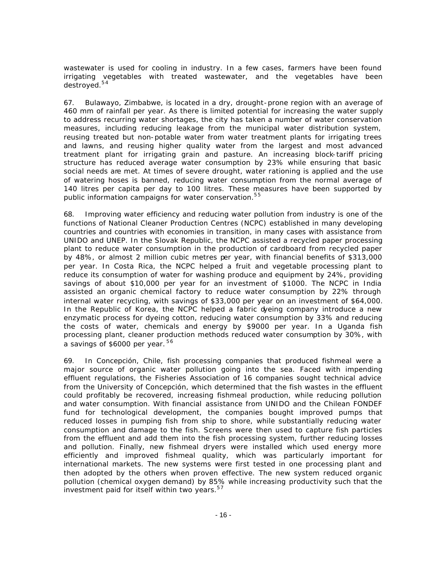wastewater is used for cooling in industry. In a few cases, farmers have been found irrigating vegetables with treated wastewater, and the vegetables have been destroyed.<sup>54</sup>

67. Bulawayo, Zimbabwe, is located in a dry, drought-prone region with an average of 460 mm of rainfall per year. As there is limited potential for increasing the water supply to address recurring water shortages, the city has taken a number of water conservation measures, including reducing leakage from the municipal water distribution system, reusing treated but non-potable water from water treatment plants for irrigating trees and lawns, and reusing higher quality water from the largest and most advanced treatment plant for irrigating grain and pasture. An increasing block-tariff pricing structure has reduced average water consumption by 23% while ensuring that basic social needs are met. At times of severe drought, water rationing is applied and the use of watering hoses is banned, reducing water consumption from the normal average of 140 litres per capita per day to 100 litres. These measures have been supported by public information campaigns for water conservation.<sup>55</sup>

68. Improving water efficiency and reducing water pollution from industry is one of the functions of National Cleaner Production Centres (NCPC) established in many developing countries and countries with economies in transition, in many cases with assistance from UNIDO and UNEP. In the Slovak Republic, the NCPC assisted a recycled paper processing plant to reduce water consumption in the production of cardboard from recycled paper by 48%, or almost 2 million cubic metres per year, with financial benefits of \$313,000 per year. In Costa Rica, the NCPC helped a fruit and vegetable processing plant to reduce its consumption of water for washing produce and equipment by 24%, providing savings of about \$10,000 per year for an investment of \$1000. The NCPC in India assisted an organic chemical factory to reduce water consumption by 22% through internal water recycling, with savings of \$33,000 per year on an investment of \$64,000. In the Republic of Korea, the NCPC helped a fabric dyeing company introduce a new enzymatic process for dyeing cotton, reducing water consumption by 33% and reducing the costs of water, chemicals and energy by \$9000 per year. In a Uganda fish processing plant, cleaner production methods reduced water consumption by 30%, with a savings of \$6000 per year.  $56$ 

69. In Concepción, Chile, fish processing companies that produced fishmeal were a major source of organic water pollution going into the sea. Faced with impending effluent regulations, the Fisheries Association of 16 companies sought technical advice from the University of Concepción, which determined that the fish wastes in the effluent could profitably be recovered, increasing fishmeal production, while reducing pollution and water consumption. With financial assistance from UNIDO and the Chilean FONDEF fund for technological development, the companies bought improved pumps that reduced losses in pumping fish from ship to shore, while substantially reducing water consumption and damage to the fish. Screens were then used to capture fish particles from the effluent and add them into the fish processing system, further reducing losses and pollution. Finally, new fishmeal dryers were installed which used energy more efficiently and improved fishmeal quality, which was particularly important for international markets. The new systems were first tested in one processing plant and then adopted by the others when proven effective. The new system reduced organic pollution (chemical oxygen demand) by 85% while increasing productivity such that the investment paid for itself within two years. $57$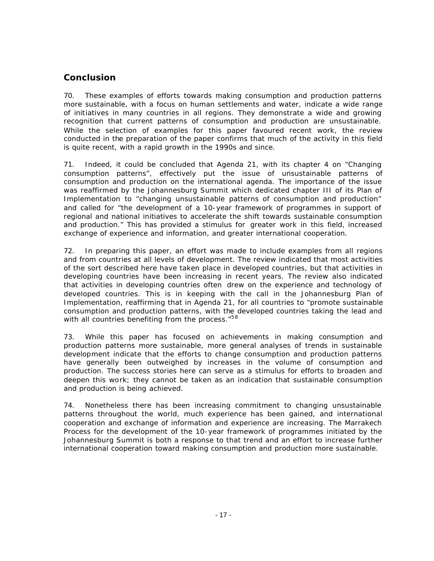### **Conclusion**

70. These examples of efforts towards making consumption and production patterns more sustainable, with a focus on human settlements and water, indicate a wide range of initiatives in many countries in all regions. They demonstrate a wide and growing recognition that current patterns of consumption and production are unsustainable. While the selection of examples for this paper favoured recent work, the review conducted in the preparation of the paper confirms that much of the activity in this field is quite recent, with a rapid growth in the 1990s and since.

71. Indeed, it could be concluded that Agenda 21, with its chapter 4 on "Changing consumption patterns", effectively put the issue of unsustainable patterns of consumption and production on the international agenda. The importance of the issue was reaffirmed by the Johannesburg Summit which dedicated chapter III of its Plan of Implementation to "changing unsustainable patterns of consumption and production" and called for "the development of a 10-year framework of programmes in support of regional and national initiatives to accelerate the shift towards sustainable consumption and production." This has provided a stimulus for greater work in this field, increased exchange of experience and information, and greater international cooperation.

72. In preparing this paper, an effort was made to include examples from all regions and from countries at all levels of development. The review indicated that most activities of the sort described here have taken place in developed countries, but that activities in developing countries have been increasing in recent years. The review also indicated that activities in developing countries often drew on the experience and technology of developed countries. This is in keeping with the call in the Johannesburg Plan of Implementation, reaffirming that in Agenda 21, for all countries to "promote sustainable consumption and production patterns, with the developed countries taking the lead and with all countries benefiting from the process."<sup>58</sup>

73. While this paper has focused on achievements in making consumption and production patterns more sustainable, more general analyses of trends in sustainable development indicate that the efforts to change consumption and production patterns have generally been outweighed by increases in the volume of consumption and production. The success stories here can serve as a stimulus for efforts to broaden and deepen this work; they cannot be taken as an indication that sustainable consumption and production is being achieved.

74. Nonetheless there has been increasing commitment to changing unsustainable patterns throughout the world, much experience has been gained, and international cooperation and exchange of information and experience are increasing. The Marrakech Process for the development of the 10-year framework of programmes initiated by the Johannesburg Summit is both a response to that trend and an effort to increase further international cooperation toward making consumption and production more sustainable.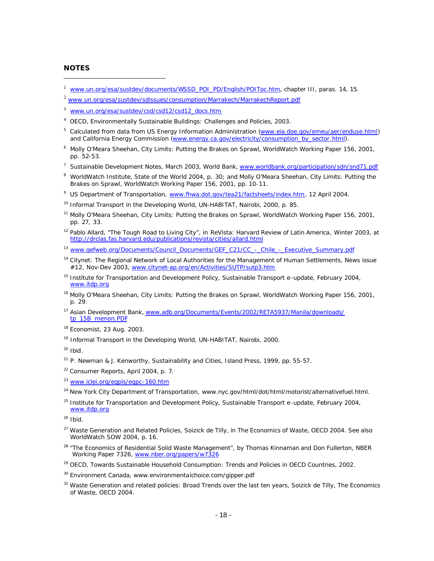#### **NOTES**

 $\overline{a}$ 

- <sup>1</sup> www.un.org/esa/sustdev/documents/WSSD\_POI\_PD/English/POIToc.htm, chapter III, paras. 14, 15.
- <sup>2</sup> www.un.org/esa/sustdev/sdissues/consumption/Marrakech/MarrakechReport.pdf
- <sup>3</sup> www.un.org/esa/sustdev/csd/csd12/csd12\_docs.htm
- <sup>4</sup> OECD, Environmentally Sustainable Buildings: Challenges and Policies, 2003.
- <sup>5</sup> Calculated from data from US Energy Information Administration (www.eia.doe.gov/emeu/aer/enduse.html) and California Energy Commission (www.energy.ca.gov/electricity/consumption\_by\_sector.html).
- <sup>6</sup> Molly O'Meara Sheehan, City Limits: Putting the Brakes on Sprawl, WorldWatch Working Paper 156, 2001, pp. 52-53.
- <sup>7</sup> Sustainable Development Notes, March 2003, World Bank, www.worldbank.org/participation/sdn/snd71.pdf
- <sup>8</sup> WorldWatch Institute, State of the World 2004, p. 30; and Molly O'Meara Sheehan, City Limits: Putting the Brakes on Sprawl, WorldWatch Working Paper 156, 2001, pp. 10-11.
- <sup>9</sup> US Department of Transportation, www.fhwa.dot.gov/tea21/factsheets/index.htm, 12 April 2004.
- <sup>10</sup> Informal Transport in the Developing World, UN-HABITAT, Nairobi, 2000, p. 85.
- <sup>11</sup> Molly O'Meara Sheehan, City Limits: Putting the Brakes on Sprawl, WorldWatch Working Paper 156, 2001, pp. 27, 33.
- <sup>12</sup> Pablo Allard, "The Tough Road to Living City", in *ReVista: Harvard Review of Latin America*, Winter 2003, at http://drclas.fas.harvard.edu/publications/revista/cities/allard.html
- <sup>13</sup> www.gefweb.org/Documents/Council\_Documents/GEF\_C21/CC\_-\_Chile\_-\_Executive\_Summary.pdf
- <sup>14</sup> Citynet: The Regional Network of Local Authorities for the Management of Human Settlements, News issue #12, Nov-Dev 2003, www.citynet-ap.org/en/Activities/SUTP/sutp3.htm
- <sup>15</sup> Institute for Transportation and Development Policy, Sustainable Transport e-update, February 2004, www.itdp.org
- <sup>16</sup> Molly O'Meara Sheehan, City Limits: Putting the Brakes on Sprawl, WorldWatch Working Paper 156, 2001, p. 29.
- <sup>17</sup> Asian Development Bank, www.adb.org/Documents/Events/2002/RETA5937/Manila/downloads/ tp\_15B\_menon.PDF
- <sup>18</sup> Economist, 23 Aug. 2003.
- <sup>19</sup> Informal Transport in the Developing World, UN-HABITAT, Nairobi, 2000.

 $20$  Ibid.

- <sup>21</sup> P. Newman & J. Kenworthy, Sustainability and Cities, Island Press, 1999, pp. 55-57.
- <sup>22</sup> Consumer Reports, April 2004, p. 7.
- <sup>23</sup> www.iclei.org/egpis/egpc-160.htm
- <sup>24</sup> New York City Department of Transportation, www.nyc.gov/html/dot/html/motorist/alternativefuel.html.
- $^{25}$  Institute for Transportation and Development Policy, Sustainable Transport e-update, February 2004, www.itdp.org

 $26$  Ibid.

- <sup>27</sup> Waste Generation and Related Policies, Soizick de Tilly, in The Economics of Waste, OECD 2004. See also WorldWatch SOW 2004, p. 16.
- <sup>28</sup> "The Economics of Residential Solid Waste Management", by Thomas Kinnaman and Don Fullerton, NBER Working Paper 7326, www.nber.org/papers/w7326
- <sup>29</sup> OECD, Towards Sustainable Household Consumption: Trends and Policies in OECD Countries, 2002.
- <sup>30</sup> Environment Canada, www.environmentalchoice.com/gipper.pdf
- <sup>31</sup> Waste Generation and related policies: Broad Trends over the last ten years, Soizick de Tilly, The Economics of Waste, OECD 2004.